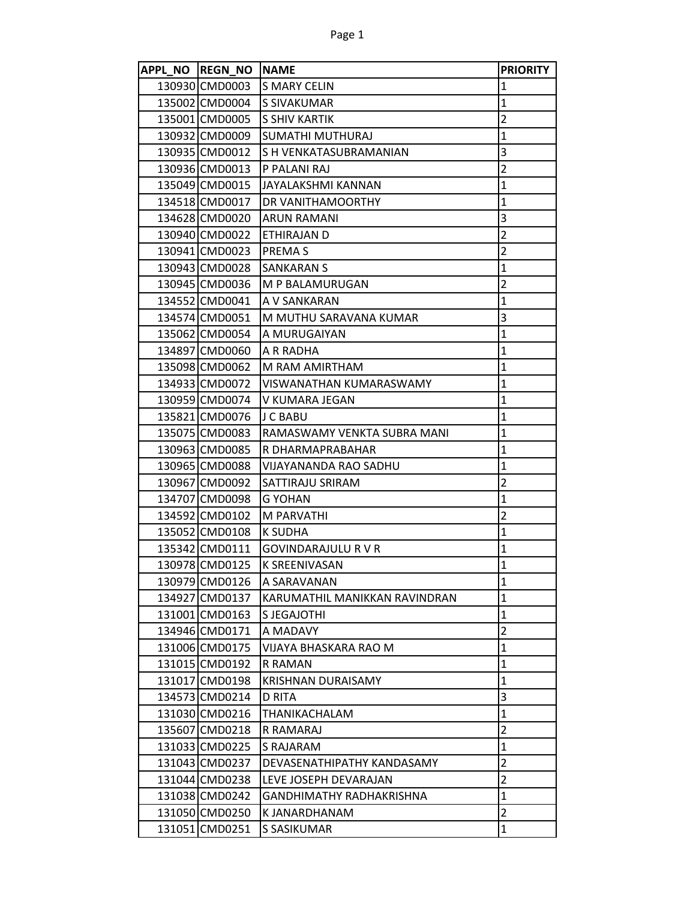| APPL NO REGN NO NAME |                                 | <b>PRIORITY</b> |
|----------------------|---------------------------------|-----------------|
| 130930 CMD0003       | <b>IS MARY CELIN</b>            | $\mathbf{1}$    |
| 135002 CMD0004       | <b>S SIVAKUMAR</b>              | $\mathbf{1}$    |
| 135001 CMD0005       | <b>S SHIV KARTIK</b>            | $\overline{2}$  |
| 130932 CMD0009       | SUMATHI MUTHURAJ                | $\mathbf{1}$    |
| 130935 CMD0012       | S H VENKATASUBRAMANIAN          | 3               |
| 130936 CMD0013       | P PALANI RAJ                    | $\overline{2}$  |
| 135049 CMD0015       | JAYALAKSHMI KANNAN              | $\mathbf{1}$    |
| 134518 CMD0017       | DR VANITHAMOORTHY               | $\mathbf{1}$    |
| 134628 CMD0020       | <b>ARUN RAMANI</b>              | 3               |
| 130940 CMD0022       | ETHIRAJAN D                     | $\overline{2}$  |
| 130941 CMD0023       | <b>PREMAS</b>                   | $\overline{2}$  |
| 130943 CMD0028       | <b>SANKARAN S</b>               | $\overline{1}$  |
| 130945 CMD0036       | M P BALAMURUGAN                 | $\overline{2}$  |
| 134552 CMD0041       | A V SANKARAN                    | $\mathbf{1}$    |
| 134574 CMD0051       | M MUTHU SARAVANA KUMAR          | 3               |
| 135062 CMD0054       | A MURUGAIYAN                    | $\mathbf{1}$    |
| 134897 CMD0060       | A R RADHA                       | $\mathbf{1}$    |
| 135098 CMD0062       | M RAM AMIRTHAM                  | 1               |
| 134933 CMD0072       | VISWANATHAN KUMARASWAMY         | $\mathbf{1}$    |
| 130959 CMD0074       | V KUMARA JEGAN                  | $\mathbf{1}$    |
| 135821 CMD0076       | IJ C BABU                       | $\mathbf{1}$    |
| 135075 CMD0083       | RAMASWAMY VENKTA SUBRA MANI     | $\mathbf{1}$    |
| 130963 CMD0085       | R DHARMAPRABAHAR                | $\mathbf{1}$    |
| 130965 CMD0088       | VIJAYANANDA RAO SADHU           | $\mathbf{1}$    |
| 130967 CMD0092       | <b>SATTIRAJU SRIRAM</b>         | $\overline{2}$  |
| 134707 CMD0098       | <b>G YOHAN</b>                  | $\mathbf{1}$    |
| 134592 CMD0102       | M PARVATHI                      | $\overline{2}$  |
| 135052 CMD0108       | K SUDHA                         | $\mathbf{1}$    |
| 135342 CMD0111       | <b>GOVINDARAJULU R V R</b>      | $\mathbf{1}$    |
| 130978 CMD0125       | <b>K SREENIVASAN</b>            | $\mathbf{1}$    |
| 130979 CMD0126       | A SARAVANAN                     | 1               |
| 134927 CMD0137       | KARUMATHIL MANIKKAN RAVINDRAN   | $\mathbf{1}$    |
| 131001 CMD0163       | S JEGAJOTHI                     | $\mathbf{1}$    |
| 134946 CMD0171       | A MADAVY                        | $\overline{2}$  |
| 131006 CMD0175       | VIJAYA BHASKARA RAO M           | $\mathbf{1}$    |
| 131015 CMD0192       | R RAMAN                         | $\mathbf{1}$    |
| 131017 CMD0198       | <b>KRISHNAN DURAISAMY</b>       | 1               |
| 134573 CMD0214       | D RITA                          | 3               |
| 131030 CMD0216       | <b>THANIKACHALAM</b>            | $\mathbf{1}$    |
| 135607 CMD0218       | R RAMARAJ                       | $\overline{2}$  |
| 131033 CMD0225       | S RAJARAM                       | 1               |
| 131043 CMD0237       | DEVASENATHIPATHY KANDASAMY      | $\overline{2}$  |
| 131044 CMD0238       | LEVE JOSEPH DEVARAJAN           | $\overline{2}$  |
| 131038 CMD0242       | <b>GANDHIMATHY RADHAKRISHNA</b> | $\mathbf{1}$    |
| 131050 CMD0250       | K JANARDHANAM                   | $\overline{2}$  |
| 131051 CMD0251       | S SASIKUMAR                     | 1               |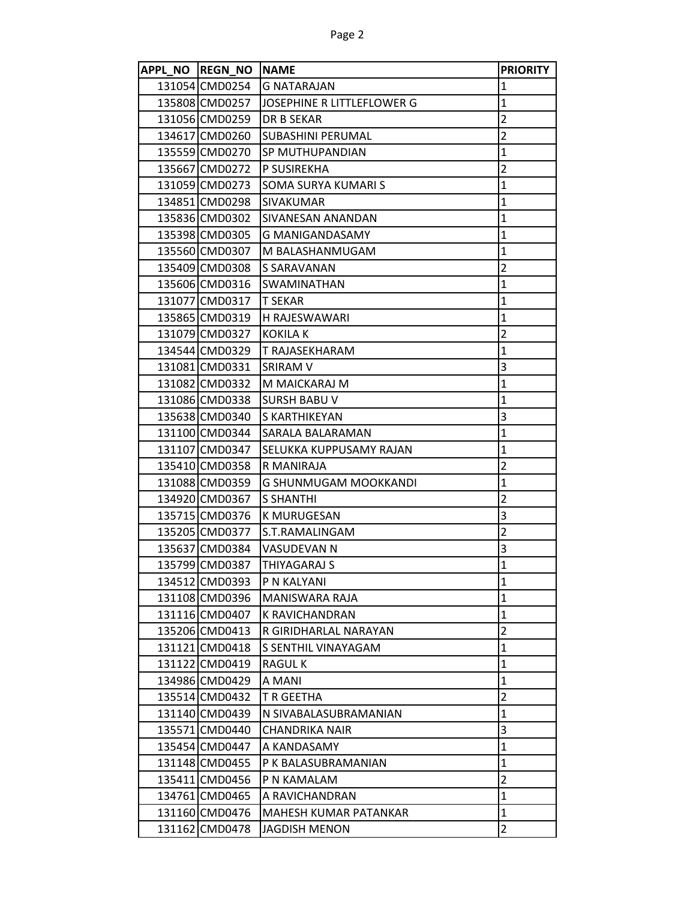| APPL NO REGN NO NAME |                                   | <b>PRIORITY</b> |
|----------------------|-----------------------------------|-----------------|
| 131054 CMD0254       | <b>G NATARAJAN</b>                | 1               |
| 135808 CMD0257       | <b>JOSEPHINE R LITTLEFLOWER G</b> | $\mathbf{1}$    |
| 131056 CMD0259       | <b>DR B SEKAR</b>                 | $\overline{2}$  |
| 134617 CMD0260       | <b>SUBASHINI PERUMAL</b>          | $\overline{2}$  |
| 135559 CMD0270       | ISP MUTHUPANDIAN                  | $\mathbf{1}$    |
| 135667 CMD0272       | P SUSIREKHA                       | $\overline{2}$  |
| 131059 CMD0273       | SOMA SURYA KUMARI S               | $\mathbf{1}$    |
| 134851 CMD0298       | <b>SIVAKUMAR</b>                  | $\mathbf{1}$    |
| 135836 CMD0302       | SIVANESAN ANANDAN                 | $\mathbf{1}$    |
| 135398 CMD0305       | G MANIGANDASAMY                   | $\mathbf{1}$    |
| 135560 CMD0307       | M BALASHANMUGAM                   | $\mathbf{1}$    |
| 135409 CMD0308       | S SARAVANAN                       | $\overline{2}$  |
| 135606 CMD0316       | SWAMINATHAN                       | $\mathbf{1}$    |
| 131077 CMD0317       | T SEKAR                           | $\mathbf{1}$    |
| 135865 CMD0319       | H RAJESWAWARI                     | $\mathbf{1}$    |
| 131079 CMD0327       | KOKILA K                          | $\overline{2}$  |
| 134544 CMD0329       | T RAJASEKHARAM                    | 1               |
| 131081 CMD0331       | SRIRAM V                          | 3               |
| 131082 CMD0332       | M MAICKARAJ M                     | $\mathbf{1}$    |
| 131086 CMD0338       | <b>SURSH BABU V</b>               | 1               |
| 135638 CMD0340       | <b>S KARTHIKEYAN</b>              | 3               |
| 131100 CMD0344       | SARALA BALARAMAN                  | $\mathbf{1}$    |
| 131107 CMD0347       | <b>SELUKKA KUPPUSAMY RAJAN</b>    | $\mathbf{1}$    |
| 135410 CMD0358       | R MANIRAJA                        | $\overline{2}$  |
| 131088 CMD0359       | G SHUNMUGAM MOOKKANDI             | $\mathbf{1}$    |
| 134920 CMD0367       | <b>S SHANTHI</b>                  | $\overline{2}$  |
| 135715 CMD0376       | K MURUGESAN                       | 3               |
| 135205 CMD0377       | S.T.RAMALINGAM                    | $\overline{2}$  |
| 135637 CMD0384       | VASUDEVAN N                       | 3               |
| 135799 CMD0387       | THIYAGARAJ S                      | $\overline{1}$  |
| 134512 CMD0393       | P N KALYANI                       | $\mathbf{1}$    |
| 131108 CMD0396       | MANISWARA RAJA                    | 1               |
| 131116 CMD0407       | K RAVICHANDRAN                    | $\mathbf{1}$    |
| 135206 CMD0413       | R GIRIDHARLAL NARAYAN             | $\overline{2}$  |
| 131121 CMD0418       | S SENTHIL VINAYAGAM               | 1               |
| 131122 CMD0419       | RAGUL K                           | 1               |
| 134986 CMD0429       | A MANI                            | $\mathbf{1}$    |
| 135514 CMD0432       | T R GEETHA                        | $\overline{2}$  |
| 131140 CMD0439       | N SIVABALASUBRAMANIAN             | $\mathbf{1}$    |
| 135571 CMD0440       | CHANDRIKA NAIR                    | 3               |
| 135454 CMD0447       | A KANDASAMY                       | 1               |
| 131148 CMD0455       | P K BALASUBRAMANIAN               | 1               |
| 135411 CMD0456       | P N KAMALAM                       | $\overline{2}$  |
| 134761 CMD0465       | A RAVICHANDRAN                    | $\mathbf{1}$    |
| 131160 CMD0476       | MAHESH KUMAR PATANKAR             | $\mathbf{1}$    |
| 131162 CMD0478       | <b>JAGDISH MENON</b>              | $\overline{2}$  |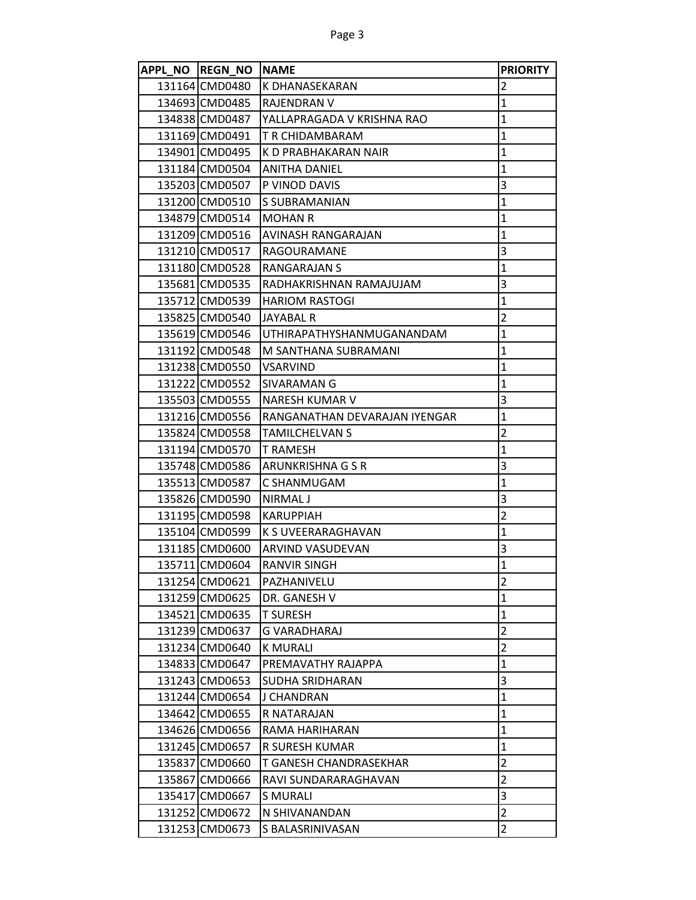|        | APPL NO REGN NO NAME |                                  | <b>PRIORITY</b> |
|--------|----------------------|----------------------------------|-----------------|
|        | 131164 CMD0480       | K DHANASEKARAN                   | $\overline{2}$  |
|        | 134693 CMD0485       | <b>RAJENDRAN V</b>               | $\mathbf{1}$    |
|        | 134838ICMD0487       | YALLAPRAGADA V KRISHNA RAO       | $\mathbf{1}$    |
|        | 131169 CMD0491       | T R CHIDAMBARAM                  | $\mathbf{1}$    |
|        | 134901 CMD0495       | K D PRABHAKARAN NAIR             | $\overline{1}$  |
|        | 131184 CMD0504       | <b>ANITHA DANIEL</b>             | $\mathbf{1}$    |
|        | 135203 CMD0507       | P VINOD DAVIS                    | 3               |
|        | 131200 CMD0510       | S SUBRAMANIAN                    | $\mathbf{1}$    |
|        | 134879 CMD0514       | <b>MOHAN R</b>                   | $\mathbf{1}$    |
|        | 131209 CMD0516       | AVINASH RANGARAJAN               | $\mathbf{1}$    |
|        | 131210 CMD0517       | RAGOURAMANE                      | 3               |
|        | 131180 CMD0528       | RANGARAJAN S                     | $\overline{1}$  |
|        | 135681 CMD0535       | RADHAKRISHNAN RAMAJUJAM          | 3               |
|        | 135712 CMD0539       | <b>HARIOM RASTOGI</b>            | $\mathbf{1}$    |
|        | 135825 CMD0540       | <b>JAYABAL R</b>                 | $\overline{2}$  |
|        | 135619 CMD0546       | <b>UTHIRAPATHYSHANMUGANANDAM</b> | $\mathbf{1}$    |
|        | 131192 CMD0548       | M SANTHANA SUBRAMANI             | $\mathbf{1}$    |
|        | 131238 CMD0550       | <b>VSARVIND</b>                  | $\mathbf{1}$    |
|        | 131222 CMD0552       | SIVARAMAN G                      | $\mathbf{1}$    |
|        | 135503 CMD0555       | NARESH KUMAR V                   | 3               |
|        | 131216 CMD0556       | RANGANATHAN DEVARAJAN IYENGAR    | $\mathbf{1}$    |
|        | 135824 CMD0558       | <b>TAMILCHELVAN S</b>            | $\overline{2}$  |
|        | 131194 CMD0570       | <b>T RAMESH</b>                  | 1               |
|        | 135748 CMD0586       | ARUNKRISHNA G S R                | 3               |
|        | 135513 CMD0587       | C SHANMUGAM                      | $\mathbf{1}$    |
|        | 135826 CMD0590       | NIRMAL J                         | 3               |
|        | 131195 CMD0598       | <b>KARUPPIAH</b>                 | $\overline{2}$  |
|        | 135104 CMD0599       | K S UVEERARAGHAVAN               | $\mathbf{1}$    |
|        | 131185 CMD0600       | ARVIND VASUDEVAN                 | 3               |
|        | 135711 CMD0604       | <b>RANVIR SINGH</b>              | $\mathbf{1}$    |
|        | 131254 CMD0621       | PAZHANIVELU                      | $\overline{2}$  |
|        | 131259 CMD0625       | DR. GANESH V                     | $\mathbf{1}$    |
|        | 134521 CMD0635       | <b>T SURESH</b>                  | 1               |
|        | 131239 CMD0637       | G VARADHARAJ                     | $\overline{2}$  |
|        | 131234 CMD0640       | <b>K MURALI</b>                  | $\overline{2}$  |
|        | 134833 CMD0647       | PREMAVATHY RAJAPPA               | $\mathbf{1}$    |
|        | 131243 CMD0653       | SUDHA SRIDHARAN                  | 3               |
|        | 131244 CMD0654       | J CHANDRAN                       | $\mathbf{1}$    |
|        | 134642 CMD0655       | R NATARAJAN                      | 1               |
|        | 134626 CMD0656       | RAMA HARIHARAN                   | 1               |
|        | 131245 CMD0657       | R SURESH KUMAR                   | $\mathbf{1}$    |
|        | 135837 CMD0660       | T GANESH CHANDRASEKHAR           | $\overline{2}$  |
| 135867 | CMD0666              | RAVI SUNDARARAGHAVAN             | $\overline{2}$  |
| 135417 | <b>CMD0667</b>       | <b>S MURALI</b>                  | 3               |
|        | 131252 CMD0672       | N SHIVANANDAN                    | $\overline{2}$  |
| 131253 | CMD0673              | S BALASRINIVASAN                 | $\overline{2}$  |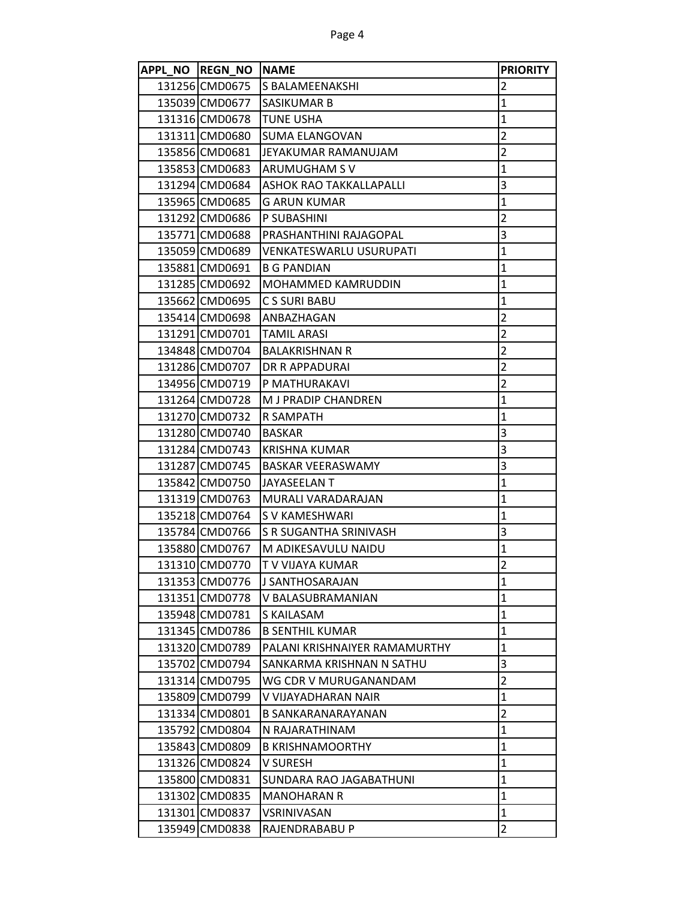| APPL NO REGN NO NAME |                               | <b>PRIORITY</b>         |
|----------------------|-------------------------------|-------------------------|
| 131256 CMD0675       | <b>S BALAMEENAKSHI</b>        | 2                       |
| 135039 CMD0677       | <b>SASIKUMAR B</b>            | $\mathbf{1}$            |
| 131316 CMD0678       | <b>TUNE USHA</b>              | $\mathbf 1$             |
| 131311 CMD0680       | <b>SUMA ELANGOVAN</b>         | $\overline{2}$          |
| 135856 CMD0681       | JEYAKUMAR RAMANUJAM           | $\overline{2}$          |
| 135853 CMD0683       | ARUMUGHAM S V                 | $\mathbf 1$             |
| 131294 CMD0684       | ASHOK RAO TAKKALLAPALLI       | 3                       |
| 135965 CMD0685       | G ARUN KUMAR                  | $\mathbf 1$             |
| 131292 CMD0686       | P SUBASHINI                   | $\overline{2}$          |
| 135771 CMD0688       | PRASHANTHINI RAJAGOPAL        | 3                       |
| 135059 CMD0689       | VENKATESWARLU USURUPATI       | $\mathbf 1$             |
| 135881 CMD0691       | <b>B G PANDIAN</b>            | $\mathbf 1$             |
| 131285 CMD0692       | MOHAMMED KAMRUDDIN            | $\mathbf 1$             |
| 135662 CMD0695       | <b>CS SURI BABU</b>           | $\mathbf 1$             |
| 135414 CMD0698       | ANBAZHAGAN                    | $\overline{2}$          |
| 131291 CMD0701       | <b>TAMIL ARASI</b>            | $\overline{2}$          |
| 134848 CMD0704       | <b>BALAKRISHNAN R</b>         | $\overline{2}$          |
| 131286 CMD0707       | DR R APPADURAI                | $\overline{2}$          |
| 134956 CMD0719       | P MATHURAKAVI                 | $\overline{2}$          |
| 131264 CMD0728       | M J PRADIP CHANDREN           | $\mathbf 1$             |
| 131270 CMD0732       | R SAMPATH                     | $\mathbf 1$             |
| 131280 CMD0740       | <b>BASKAR</b>                 | 3                       |
| 131284 CMD0743       | <b>KRISHNA KUMAR</b>          | $\overline{\mathbf{3}}$ |
| 131287 CMD0745       | <b>BASKAR VEERASWAMY</b>      | 3                       |
| 135842 CMD0750       | <b>JAYASEELAN T</b>           | $\mathbf 1$             |
| 131319 CMD0763       | MURALI VARADARAJAN            | $\mathbf 1$             |
| 135218 CMD0764       | <b>SV KAMESHWARI</b>          | $\mathbf{1}$            |
| 135784 CMD0766       | S R SUGANTHA SRINIVASH        | 3                       |
| 135880 CMD0767       | M ADIKESAVULU NAIDU           | $\mathbf 1$             |
| 131310 CMD0770       | T V VIJAYA KUMAR              | $\overline{2}$          |
| 131353 CMD0776       | J SANTHOSARAJAN               | $\mathbf{1}$            |
| 131351 CMD0778       | V BALASUBRAMANIAN             | $\mathbf{1}$            |
| 135948 CMD0781       | S KAILASAM                    | $\mathbf{1}$            |
| 131345 CMD0786       | <b>B SENTHIL KUMAR</b>        | $\mathbf{1}$            |
| 131320 CMD0789       | PALANI KRISHNAIYER RAMAMURTHY | $\mathbf 1$             |
| 135702 CMD0794       | SANKARMA KRISHNAN N SATHU     | 3                       |
| 131314 CMD0795       | WG CDR V MURUGANANDAM         | $\overline{2}$          |
| 135809 CMD0799       | V VIJAYADHARAN NAIR           | $\mathbf{1}$            |
| 131334 CMD0801       | B SANKARANARAYANAN            | $\overline{2}$          |
| 135792 CMD0804       | N RAJARATHINAM                | $\mathbf{1}$            |
| 135843 CMD0809       | <b>B KRISHNAMOORTHY</b>       | $\mathbf{1}$            |
| 131326 CMD0824       | V SURESH                      | $\mathbf{1}$            |
| 135800 CMD0831       | SUNDARA RAO JAGABATHUNI       | $\mathbf{1}$            |
| 131302 CMD0835       | <b>MANOHARAN R</b>            | $\mathbf{1}$            |
| 131301 CMD0837       | VSRINIVASAN                   | $\mathbf{1}$            |
| 135949 CMD0838       | RAJENDRABABU P                | $\overline{2}$          |